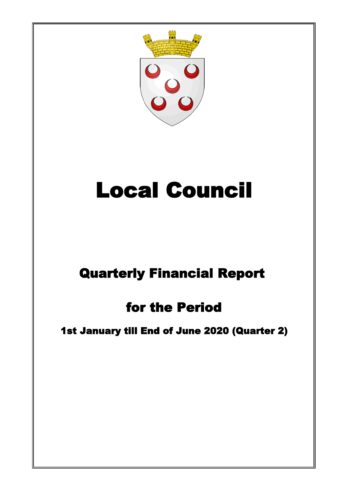

# Local Council

## Quarterly Financial Report

## for the Period

### 1st January till End of June 2020 (Quarter 2)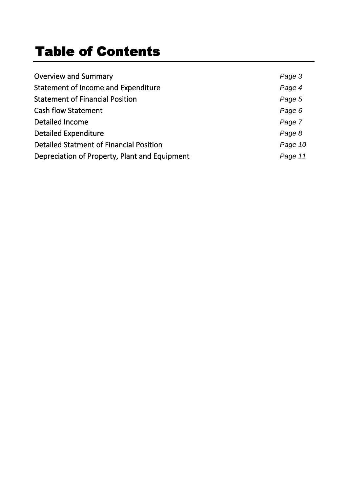## Table of Contents

| <b>Overview and Summary</b>                   | Page 3  |
|-----------------------------------------------|---------|
| Statement of Income and Expenditure           | Page 4  |
| <b>Statement of Financial Position</b>        | Page 5  |
| <b>Cash flow Statement</b>                    | Page 6  |
| Detailed Income                               | Page 7  |
| <b>Detailed Expenditure</b>                   | Page 8  |
| Detailed Statment of Financial Position       | Page 10 |
| Depreciation of Property, Plant and Equipment | Page 11 |
|                                               |         |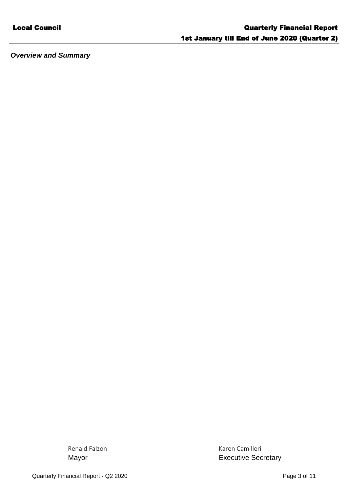*Overview and Summary*

Renald Falzon **Karen Camilleri** Karen Camilleri Mayor **Mayor Executive Secretary**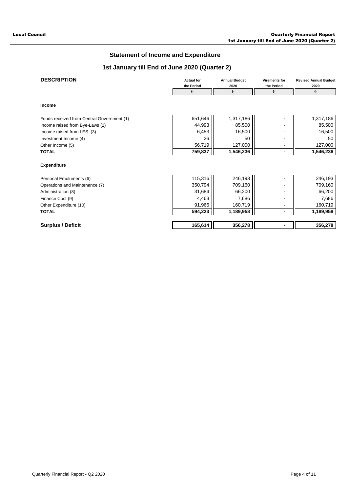### **Statement of Income and Expenditure**

#### **1st January till End of June 2020 (Quarter 2)**

| <b>DESCRIPTION</b>                         | <b>Actual for</b><br>the Period | <b>Annual Budget</b><br>2020 | <b>Virements for</b><br>the Period | <b>Revised Annual Budget</b><br>2020 |
|--------------------------------------------|---------------------------------|------------------------------|------------------------------------|--------------------------------------|
|                                            | €                               | €                            | €                                  | €                                    |
| Income                                     |                                 |                              |                                    |                                      |
| Funds received from Central Government (1) | 651,646                         | 1,317,186                    |                                    | 1,317,186                            |
| Income raised from Bye-Laws (2)            | 44,993                          | 85,500                       |                                    | 85,500                               |
| Income raised from LES (3)                 | 6,453                           | 16,500                       | ۰                                  | 16,500                               |
| Investment Income (4)                      | 26                              | 50                           |                                    | 50                                   |
| Other Income (5)                           | 56,719                          | 127,000                      |                                    | 127,000                              |
| <b>TOTAL</b>                               | 759,837                         | 1,546,236                    | ٠                                  | 1,546,236                            |
| <b>Expenditure</b>                         |                                 |                              |                                    |                                      |
| Personal Emoluments (6)                    | 115,316                         | 246,193                      |                                    | 246,193                              |
| Operations and Maintenance (7)             | 350,794                         | 709,160                      |                                    | 709,160                              |
| Administration (8)                         | 31,684                          | 66,200                       |                                    | 66,200                               |
| Finance Cost (9)                           | 4,463                           | 7,686                        |                                    | 7,686                                |
| Other Expenditure (10)                     | 91,966                          | 160,719                      | -                                  | 160,719                              |
| <b>TOTAL</b>                               | 594,223                         | 1,189,958                    | ۰                                  | 1,189,958                            |
| <b>Surplus / Deficit</b>                   | 165,614                         | 356,278                      |                                    | 356,278                              |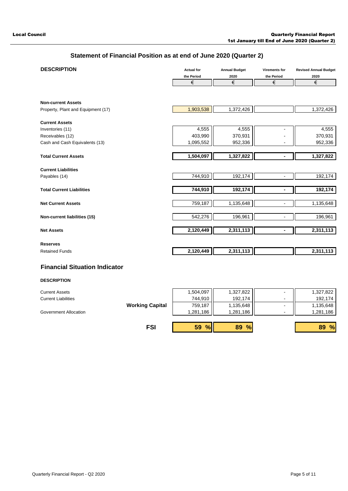### **Statement of Financial Position as at end of June 2020 (Quarter 2)**

| <b>DESCRIPTION</b>                 | <b>Actual for</b> | <b>Annual Budget</b>   | <b>Virements for</b>     | <b>Revised Annual Budget</b> |
|------------------------------------|-------------------|------------------------|--------------------------|------------------------------|
|                                    | the Period        | 2020                   | the Period               | 2020                         |
|                                    | €                 | €                      | €                        | €                            |
|                                    |                   |                        |                          |                              |
| <b>Non-current Assets</b>          |                   |                        |                          |                              |
| Property, Plant and Equipment (17) | 1,903,538         | 1,372,426              |                          | 1,372,426                    |
| <b>Current Assets</b>              |                   |                        |                          |                              |
| Inventories (11)                   | 4,555             | 4,555                  |                          | 4,555                        |
| Receivables (12)                   | 403,990           | 370,931                |                          | 370,931                      |
| Cash and Cash Equivalents (13)     | 1,095,552         | 952,336                |                          | 952,336                      |
|                                    |                   |                        |                          |                              |
| <b>Total Current Assets</b>        | 1,504,097         | 1,327,822              | ٠                        | 1,327,822                    |
|                                    |                   |                        |                          |                              |
| <b>Current Liabilities</b>         |                   |                        |                          |                              |
| Payables (14)                      | 744,910           | 192,174                | $\overline{\phantom{0}}$ | 192,174                      |
|                                    |                   |                        |                          |                              |
| <b>Total Current Liabilities</b>   | 744,910           | 192,174                |                          | 192,174                      |
|                                    |                   |                        |                          |                              |
| <b>Net Current Assets</b>          | 759,187           | 1,135,648              | $\blacksquare$           | 1,135,648                    |
|                                    |                   |                        |                          |                              |
| Non-current liabilities (15)       | 542,276           | 196,961                |                          | 196,961                      |
|                                    |                   |                        |                          |                              |
| <b>Net Assets</b>                  | 2,120,449         | $\overline{2,311,113}$ |                          | 2,311,113                    |
|                                    |                   |                        |                          |                              |
| <b>Reserves</b>                    |                   |                        |                          |                              |
| <b>Retained Funds</b>              | 2,120,449         | 2,311,113              |                          | 2,311,113                    |
|                                    |                   |                        |                          |                              |

#### **Financial Situation Indicator**

#### **DESCRIPTION**

| <b>Current Assets</b>      |                        | 1,504,097 | 1,327,822           | $\blacksquare$           | 1,327,822           |
|----------------------------|------------------------|-----------|---------------------|--------------------------|---------------------|
| <b>Current Liabilities</b> |                        | 744.910   | 192.174             | -                        | 192,174             |
|                            | <b>Working Capital</b> | 759,187   | 1,135,648           | $\overline{\phantom{a}}$ | 1,135,648           |
| Government Allocation      |                        | 1,281,186 | 1,281,186           | -                        | 1,281,186           |
|                            |                        |           |                     |                          |                     |
|                            | <b>FSI</b>             | 59 %      | $\frac{9}{6}$<br>89 |                          | $\frac{9}{6}$<br>89 |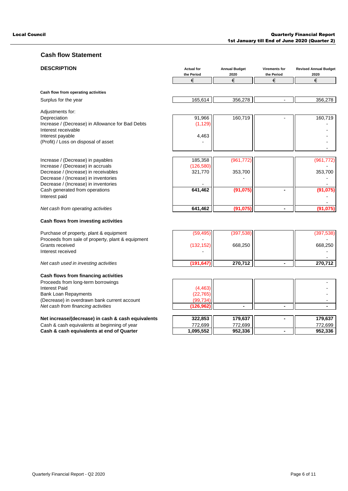#### Local Council Quarterly Financial Report 1st January till End of June 2020 (Quarter 2)

#### **Cash flow Statement**

| <b>DESCRIPTION</b>                                                          | <b>Actual for</b><br>the Period | <b>Annual Budget</b><br>2020 | Virements for<br>the Period | <b>Revised Annual Budget</b><br>2020 |
|-----------------------------------------------------------------------------|---------------------------------|------------------------------|-----------------------------|--------------------------------------|
|                                                                             | €                               | €                            | €                           | €                                    |
|                                                                             |                                 |                              |                             |                                      |
| Cash flow from operating activities                                         |                                 |                              |                             |                                      |
| Surplus for the year                                                        | 165,614                         | 356,278                      |                             | 356,278                              |
| Adjustments for:                                                            |                                 |                              |                             |                                      |
| Depreciation                                                                | 91,966                          | 160,719                      |                             | 160,719                              |
| Increase / (Decrease) in Allowance for Bad Debts                            | (1, 129)                        |                              |                             |                                      |
| Interest receivable                                                         |                                 |                              |                             |                                      |
| Interest payable                                                            | 4,463                           |                              |                             |                                      |
| (Profit) / Loss on disposal of asset                                        |                                 |                              |                             |                                      |
|                                                                             |                                 |                              |                             |                                      |
| Increase / (Decrease) in payables                                           | 185,358                         | (961, 772)                   |                             | (961, 772)                           |
| Increase / (Decrease) in accruals                                           | (126, 580)                      |                              |                             |                                      |
| Decrease / (Increase) in receivables                                        | 321,770                         | 353,700                      |                             | 353,700                              |
| Decrease / (Increase) in inventories                                        |                                 |                              |                             |                                      |
| Decrease / (Increase) in inventories                                        |                                 |                              |                             |                                      |
| Cash generated from operations                                              | 641,462                         | (91, 075)                    | ٠                           | (91, 075)                            |
| Interest paid                                                               |                                 |                              |                             |                                      |
| Net cash from operating activities                                          | 641,462                         | (91, 075)                    | ٠                           | (91, 075)                            |
|                                                                             |                                 |                              |                             |                                      |
| Cash flows from investing activities                                        |                                 |                              |                             |                                      |
| Purchase of property, plant & equipment                                     | (59, 495)                       | (397, 538)                   |                             | (397, 538)                           |
| Proceeds from sale of property, plant & equipment                           |                                 |                              |                             |                                      |
| Grants received                                                             | (132, 152)                      | 668,250                      |                             | 668,250                              |
| Interest received                                                           |                                 |                              |                             |                                      |
| Net cash used in investing activities                                       | (191, 647)                      | 270,712                      | ٠                           | 270,712                              |
|                                                                             |                                 |                              |                             |                                      |
| Cash flows from financing activities                                        |                                 |                              |                             |                                      |
| Proceeds from long-term borrowings                                          |                                 |                              |                             |                                      |
| <b>Interest Paid</b>                                                        | (4, 463)                        |                              |                             |                                      |
| <b>Bank Loan Repayments</b><br>(Decrease) in overdrawn bank current account | (22, 765)<br>(99, 734)          |                              |                             |                                      |
| Net cash from financing activities                                          | (126,962)                       | $\blacksquare$               | $\blacksquare$              | $\blacksquare$                       |
|                                                                             |                                 |                              |                             |                                      |
| Net increase/(decrease) in cash & cash equivalents                          | 322,853                         | 179,637                      | $\blacksquare$              | 179,637                              |

Cash & cash equivalents at beginning of year 772,699 772,699 772,699 Cash & cash equivalents at beginning of year<br>
Cash & cash equivalents at end of Quarter 1,095,552 952,336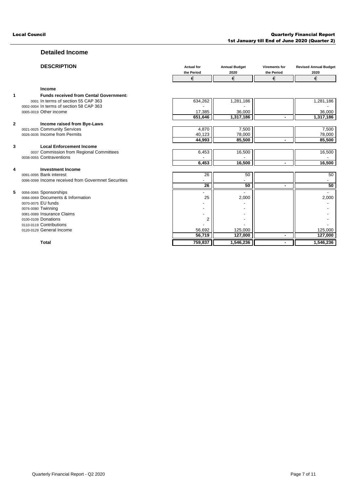#### **Detailed Income**

|    | <b>DESCRIPTION</b>                                  | <b>Actual for</b><br>the Period | <b>Annual Budget</b><br>2020 | <b>Virements for</b><br>the Period | <b>Revised Annual Budget</b><br>2020 |
|----|-----------------------------------------------------|---------------------------------|------------------------------|------------------------------------|--------------------------------------|
|    |                                                     | €                               | €                            | €                                  | €                                    |
|    | Income                                              |                                 |                              |                                    |                                      |
| 1  | <b>Funds received from Cental Government:</b>       |                                 |                              |                                    |                                      |
|    | 0001 In terms of section 55 CAP 363                 | 634,262                         | 1,281,186                    |                                    | 1,281,186                            |
|    | 0002-0004 In terms of section 58 CAP 363            |                                 |                              |                                    |                                      |
|    | 0005-0019 Other income                              | 17,385                          | 36,000                       |                                    | 36,000                               |
|    |                                                     | 651.646                         | 1,317,186                    |                                    | 1,317,186                            |
| 2  | Income raised from Bye-Laws                         |                                 |                              |                                    |                                      |
|    | 0021-0025 Community Services                        | 4,870                           | 7,500                        |                                    | 7,500                                |
|    | 0026-0035 Income from Permits                       | 40,123                          | 78,000                       |                                    | 78,000                               |
|    |                                                     | 44,993                          | 85,500                       |                                    | 85,500                               |
| 3  | <b>Local Enforcement Income</b>                     |                                 |                              |                                    |                                      |
|    | 0037 Commission from Regional Committees            | 6,453                           | 16,500                       |                                    | 16,500                               |
|    | 0038-0055 Contraventions                            |                                 |                              |                                    |                                      |
|    |                                                     | 6,453                           | 16,500                       |                                    | 16,500                               |
| 4  | <b>Investment Income</b>                            |                                 |                              |                                    |                                      |
|    | 0091-0095 Bank interest                             | 26                              | 50                           |                                    | 50                                   |
|    | 0096-0099 Income received from Govermnet Securities |                                 |                              |                                    |                                      |
|    |                                                     | $\overline{26}$                 | 50                           |                                    | 50                                   |
| 5. | 0056-0065 Sponsorships                              |                                 |                              |                                    |                                      |
|    | 0066-0069 Documents & Information                   | 25                              | 2,000                        |                                    | 2,000                                |
|    | 0070-0075 EU funds                                  |                                 |                              |                                    |                                      |
|    | 0076-0080 Twinning                                  | $\blacksquare$                  |                              |                                    |                                      |
|    | 0081-0089 Insurance Claims                          | $\overline{\phantom{a}}$        |                              |                                    |                                      |
|    | 0100-0109 Donations<br>0110-0119 Contributions      | $\overline{2}$                  |                              |                                    |                                      |
|    | 0120-0129 General Income                            | 56,692                          | 125,000                      |                                    | 125,000                              |
|    |                                                     | 56,719                          | 127,000                      |                                    | 127,000                              |
|    |                                                     |                                 |                              |                                    |                                      |
|    | <b>Total</b>                                        | 759,837                         | 1,546,236                    |                                    | 1,546,236                            |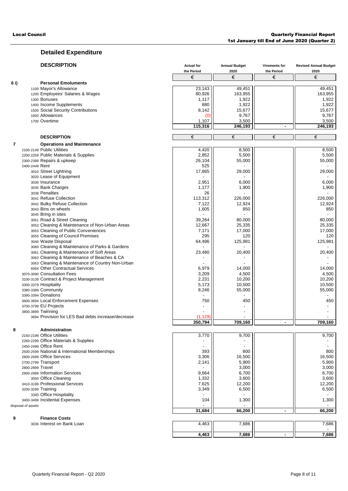#### **Detailed Expenditure**

|                         | <b>DESCRIPTION</b>                    |                                                    | <b>Actual for</b>        | <b>Annual Budget</b> | <b>Virements for</b> | <b>Revised Annual Budget</b> |
|-------------------------|---------------------------------------|----------------------------------------------------|--------------------------|----------------------|----------------------|------------------------------|
|                         |                                       |                                                    | the Period<br>€          | 2020<br>€            | the Period<br>€      | 2020                         |
|                         |                                       |                                                    |                          |                      |                      | €                            |
| 6i)                     | 1100 Mayor's Allowance                | <b>Personal Emoluments</b>                         | 23,143                   | 49,451               |                      | 49,451                       |
|                         |                                       | 1200 Employees' Salaries & Wages                   | 80,926                   | 163,955              |                      | 163,955                      |
|                         | 1300 Bonuses                          |                                                    | 1,117                    | 1,922                |                      | 1,922                        |
|                         | 1400 Income Supplements               |                                                    | 880                      | 1,922                |                      | 1,922                        |
|                         |                                       | 1500 Social Security Contributions                 | 8,142                    | 15,677               |                      | 15,677                       |
|                         | 1600 Allowances                       |                                                    | (0                       | 9,767                |                      | 9,767                        |
|                         | 1700 Overtime                         |                                                    | 1,107                    | 3,500                |                      | 3,500                        |
|                         |                                       |                                                    | 115,316                  | 246,193              | $\blacksquare$       | 246,193                      |
|                         | <b>DESCRIPTION</b>                    |                                                    | €                        | €                    | €                    | €                            |
| $\overline{\mathbf{r}}$ |                                       | <b>Operations and Maintenance</b>                  |                          |                      |                      |                              |
|                         | 2100-2149 Public Utilities            |                                                    | 4,420                    | 8,500                |                      | 8,500                        |
|                         | 2200-2259 Public Materials & Supplies |                                                    | 2,852                    | 5,500                |                      | 5,500                        |
|                         | 2300-2399 Repairs & upkeep            |                                                    | 26,104                   | 55,000               |                      | 55,000                       |
|                         | 2400-2449 Rent                        |                                                    | 525                      |                      |                      |                              |
|                         | 3010 Street Lightning                 |                                                    | 17,865                   | 29,000               |                      | 29,000                       |
|                         | 3020 Lease of Equipment               |                                                    |                          |                      |                      |                              |
|                         | 3030 Insurance                        |                                                    | 2,951                    | 6,000                |                      | 6,000                        |
|                         | 3035 Bank Charges                     |                                                    | 1,177                    | 1,900                |                      | 1,900                        |
|                         | 3038 Penalties                        |                                                    | 26                       |                      |                      |                              |
|                         | 3041 Refuse Collection                |                                                    | 113,312                  | 226,000              |                      | 226,000                      |
|                         | 3042 Bulky Refuse Collection          |                                                    | 7,122                    | 12,924               |                      | 12,924                       |
|                         | 3043 Bins on wheels                   |                                                    | 1,605                    | 850                  |                      | 850                          |
|                         | 3045 Bring in sites                   |                                                    |                          |                      |                      |                              |
|                         | 3051 Road & Street Cleaning           |                                                    | 39,264                   | 80,000               |                      | 80,000                       |
|                         |                                       | 3052 Cleaning & Maintenance of Non-Urban Areas     | 12,667                   | 25,335               |                      | 25,335                       |
|                         |                                       | 3053 Cleaning of Public Conveniences               | 7,171                    | 17,000               |                      | 17,000                       |
|                         |                                       | 3055 Cleaning of Council Premises                  | 295                      | 120                  |                      | 120                          |
|                         | 3040 Waste Disposal                   |                                                    | 64,496                   | 125,981              |                      | 125,981                      |
|                         |                                       | 3060 Cleaning & Maintenance of Parks & Gardens     |                          |                      |                      |                              |
|                         |                                       | 3061 Cleaning & Maintenance of Soft Areas          | 23,480                   | 20,400               |                      | 20,400                       |
|                         |                                       | 3062 Cleaning & Maintenance of Beaches & CA        |                          |                      |                      |                              |
|                         |                                       | 3063 Cleaning & Maintenance of Country Non-Urban   |                          |                      |                      |                              |
|                         |                                       | 6064 Other Contractual Services                    | 6,979                    | 14,000               |                      | 14,000                       |
|                         | 3070-3090 Consultation Fees           |                                                    | 3,209                    | 4,500                |                      | 4,500                        |
|                         |                                       | 3100-3139 Contract & Project Management            | 2,231                    | 10,200               |                      | 10,200                       |
|                         | 3300-3379 Hospitality                 |                                                    | 5,173                    | 10,500               |                      | 10,500                       |
|                         | 3380-3389 Community                   |                                                    | 8,246                    | 55,000               |                      | 55,000                       |
|                         | 3390-3394 Donations                   |                                                    |                          |                      |                      |                              |
|                         | 3600-3694 Local Enforcement Expenses  |                                                    | 750                      | 450                  |                      | 450                          |
|                         | 3700-3799 EU Projects                 |                                                    | $\overline{\phantom{a}}$ |                      |                      |                              |
|                         | 3800-3899 Twinning                    |                                                    |                          |                      |                      |                              |
|                         |                                       | 3694 Provision for LES Bad debts increase/decrease | (1, 129)                 |                      |                      |                              |
|                         |                                       |                                                    | 350,794                  | 709,160              |                      | 709,160                      |
| 8                       | Administration                        |                                                    |                          |                      |                      |                              |
|                         | 2150-2199 Office Utilities            |                                                    | 3,770                    | 9,700                |                      | 9,700                        |
|                         | 2260-2299 Office Materials & Supplies |                                                    |                          |                      |                      |                              |
|                         | 2450-2499 Office Rent                 |                                                    |                          |                      |                      |                              |
|                         |                                       | 2500-2599 National & International Memberships     | 393                      | 800                  |                      | 800                          |
|                         | 2600-2699 Office Services             |                                                    | 3,306                    | 16,500               |                      | 16,500                       |
|                         | 2700-2799 Transport                   |                                                    | 2,141                    | 5,900                |                      | 5,900                        |
|                         | 2800-2899 Travel                      |                                                    |                          | 3,000                |                      | 3,000                        |
|                         | 2900-2999 Information Services        |                                                    | 9,664                    | 6,700                |                      | 6,700                        |
|                         | 3050 Office Cleaning                  |                                                    | 1,332                    | 3,600                |                      | 3,600                        |
|                         | 3410-3199 Professional Services       |                                                    | 7,625                    | 12,200               |                      | 12,200                       |
|                         | 3200-3299 Training                    |                                                    | 3,349                    | 6,500                |                      | 6,500                        |
|                         | 3345 Office Hospitality               |                                                    |                          |                      |                      |                              |
|                         | 3400-3499 Incidental Expenses         |                                                    | 104                      | 1,300                |                      | 1,300                        |
|                         | disposal of assets                    |                                                    |                          |                      |                      |                              |
|                         |                                       |                                                    | 31,684                   | 66,200               |                      | 66,200                       |
| 9                       | <b>Finance Costs</b>                  |                                                    |                          |                      |                      |                              |
|                         | 3036 Interest on Bank Loan            |                                                    | 4,463                    | 7,686                |                      | 7,686                        |
|                         |                                       |                                                    | 4,463                    | 7,686                | $\blacksquare$       | 7,686                        |
|                         |                                       |                                                    |                          |                      |                      |                              |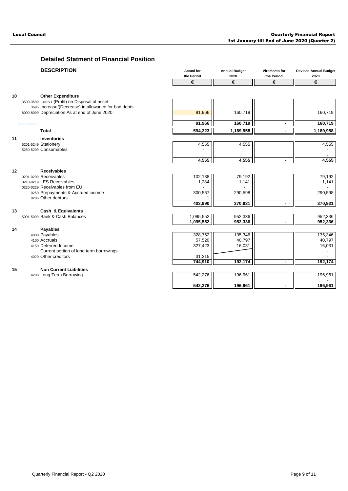### **Detailed Statment of Financial Position**

|    | <b>DESCRIPTION</b>                                                         | <b>Actual for</b><br>the Period<br>€ | <b>Annual Budget</b><br>2020<br>€ | <b>Virements for</b><br>the Period<br>€ | <b>Revised Annual Budget</b><br>2020<br>€ |
|----|----------------------------------------------------------------------------|--------------------------------------|-----------------------------------|-----------------------------------------|-------------------------------------------|
|    |                                                                            |                                      |                                   |                                         |                                           |
| 10 |                                                                            |                                      |                                   |                                         |                                           |
|    | <b>Other Expenditure</b><br>3500-3599 Loss / (Profit) on Disposal of asset |                                      |                                   |                                         |                                           |
|    | 3695 Increase/(Decrease) in allowance for bad debts                        |                                      |                                   |                                         |                                           |
|    | 8000-8099 Depreciation As at end of June 2020                              | 91,966                               | 160,719                           |                                         | 160,719                                   |
|    |                                                                            |                                      |                                   |                                         |                                           |
|    | Depreciation                                                               | 91,966                               | 160,719                           | ۰                                       | 160,719                                   |
|    | <b>Total</b>                                                               | 594,223                              | 1,189,958                         | $\blacksquare$                          | 1,189,958                                 |
| 11 | <b>Inventories</b>                                                         |                                      |                                   |                                         |                                           |
|    | 5201-5249 Stationery                                                       | 4,555                                | 4,555                             |                                         | 4,555                                     |
|    | 5250-5299 Consumables                                                      |                                      |                                   |                                         |                                           |
|    |                                                                            | 4,555                                | 4,555                             | $\sim$                                  |                                           |
|    |                                                                            |                                      |                                   |                                         | 4,555                                     |
| 12 | <b>Receivables</b>                                                         |                                      |                                   |                                         |                                           |
|    | 0201-0209 Receivables                                                      | 102,138                              | 79,192                            |                                         | 79,192                                    |
|    | 0210-0219 LES Receivables                                                  | 1,284                                | 1,141                             |                                         | 1,141                                     |
|    | 0220-0229 Receivables from EU                                              |                                      |                                   |                                         |                                           |
|    | 0250 Prepayments & Accrued income                                          | 300,567                              | 290,598                           |                                         | 290,598                                   |
|    | 0205 Other debtors                                                         |                                      |                                   |                                         |                                           |
|    |                                                                            | 403,990                              | 370,931                           | $\blacksquare$                          | 370,931                                   |
| 13 | Cash & Equivalents                                                         |                                      |                                   |                                         |                                           |
|    | 5001-5099 Bank & Cash Balances                                             | 1,095,552                            | 952,336                           |                                         | 952,336                                   |
|    |                                                                            | 1,095,552                            | 952,336                           |                                         | 952,336                                   |
| 14 | <b>Payables</b>                                                            |                                      |                                   |                                         |                                           |
|    | 4000 Payables<br>4100 Accruals                                             | 328,752<br>57,520                    | 135,346<br>40,797                 |                                         | 135,346<br>40,797                         |
|    | 4150 Deferred Income                                                       | 327,423                              | 16,031                            |                                         | 16,031                                    |
|    | Current portion of long term borrowings                                    |                                      |                                   |                                         |                                           |
|    | 4020 Other creditors                                                       | 31,215                               |                                   |                                         |                                           |
|    |                                                                            | 744,910                              | 192,174                           | $\blacksquare$                          | 192,174                                   |
| 15 | <b>Non Current Liabilities</b>                                             |                                      |                                   |                                         |                                           |
|    | 4200 Long Term Borrowing                                                   | 542,276                              | 196,961                           |                                         | 196,961                                   |
|    |                                                                            |                                      |                                   |                                         |                                           |
|    |                                                                            | 542,276                              | 196,961                           | $\blacksquare$                          | 196,961                                   |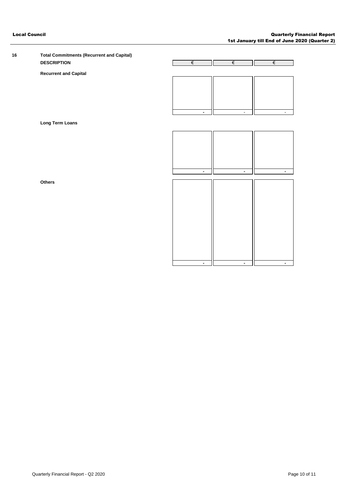| 16 | <b>Total Commitments (Recurrent and Capital)</b> |
|----|--------------------------------------------------|
|    | <b>DESCRIPTION</b>                               |

**Recurrent and Capital**

**Long Term Loans** 

**Others**